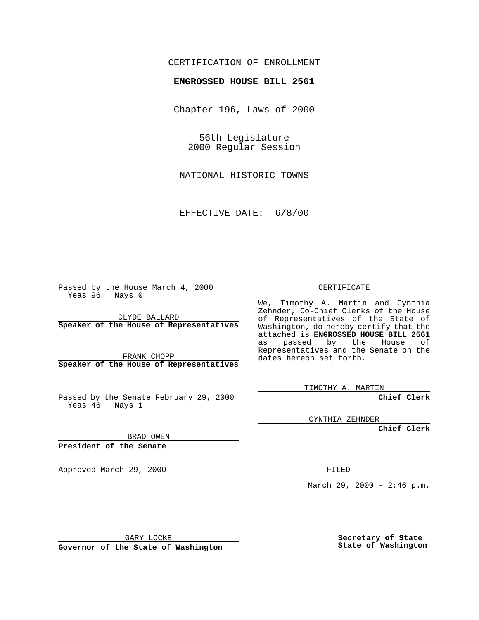## CERTIFICATION OF ENROLLMENT

## **ENGROSSED HOUSE BILL 2561**

Chapter 196, Laws of 2000

56th Legislature 2000 Regular Session

NATIONAL HISTORIC TOWNS

EFFECTIVE DATE: 6/8/00

Passed by the House March 4, 2000 Yeas 96 Nays 0

CLYDE BALLARD **Speaker of the House of Representatives**

FRANK CHOPP **Speaker of the House of Representatives**

Passed by the Senate February 29, 2000 Yeas 46 Nays 1

CYNTHIA ZEHNDER

**Chief Clerk**

BRAD OWEN

**President of the Senate**

Approved March 29, 2000 FILED

March 29, 2000 - 2:46 p.m.

GARY LOCKE

**Governor of the State of Washington**

**Secretary of State State of Washington**

## CERTIFICATE

We, Timothy A. Martin and Cynthia Zehnder, Co-Chief Clerks of the House of Representatives of the State of Washington, do hereby certify that the attached is **ENGROSSED HOUSE BILL 2561** as passed by the House of Representatives and the Senate on the dates hereon set forth.

**Chief Clerk**

TIMOTHY A. MARTIN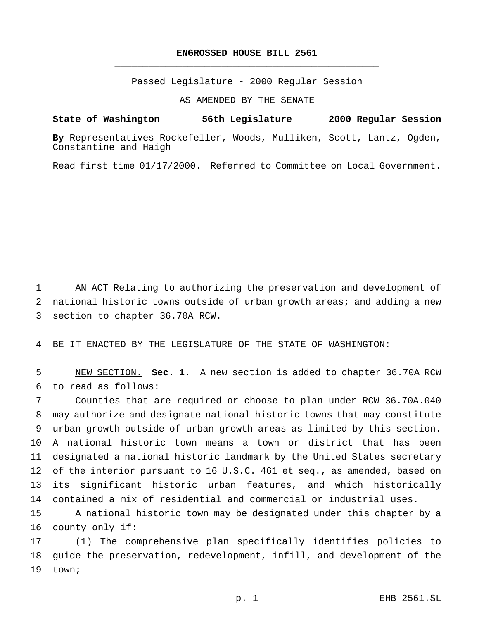## **ENGROSSED HOUSE BILL 2561** \_\_\_\_\_\_\_\_\_\_\_\_\_\_\_\_\_\_\_\_\_\_\_\_\_\_\_\_\_\_\_\_\_\_\_\_\_\_\_\_\_\_\_\_\_\_\_

\_\_\_\_\_\_\_\_\_\_\_\_\_\_\_\_\_\_\_\_\_\_\_\_\_\_\_\_\_\_\_\_\_\_\_\_\_\_\_\_\_\_\_\_\_\_\_

Passed Legislature - 2000 Regular Session

AS AMENDED BY THE SENATE

**State of Washington 56th Legislature 2000 Regular Session**

**By** Representatives Rockefeller, Woods, Mulliken, Scott, Lantz, Ogden, Constantine and Haigh

Read first time 01/17/2000. Referred to Committee on Local Government.

 AN ACT Relating to authorizing the preservation and development of national historic towns outside of urban growth areas; and adding a new section to chapter 36.70A RCW.

BE IT ENACTED BY THE LEGISLATURE OF THE STATE OF WASHINGTON:

 NEW SECTION. **Sec. 1.** A new section is added to chapter 36.70A RCW to read as follows:

 Counties that are required or choose to plan under RCW 36.70A.040 may authorize and designate national historic towns that may constitute urban growth outside of urban growth areas as limited by this section. A national historic town means a town or district that has been designated a national historic landmark by the United States secretary of the interior pursuant to 16 U.S.C. 461 et seq., as amended, based on its significant historic urban features, and which historically contained a mix of residential and commercial or industrial uses.

 A national historic town may be designated under this chapter by a county only if:

 (1) The comprehensive plan specifically identifies policies to guide the preservation, redevelopment, infill, and development of the town;